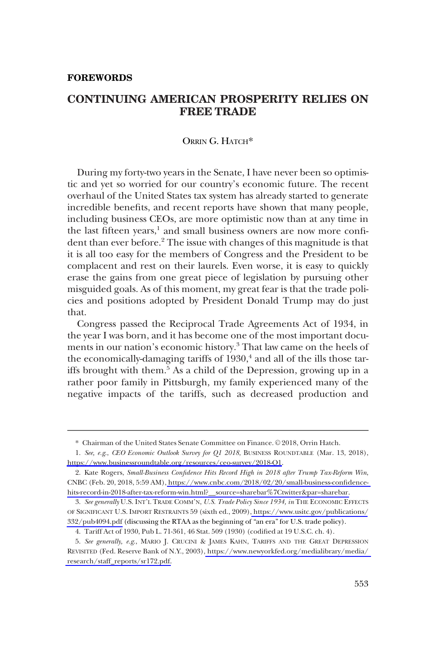#### **FOREWORDS**

# **CONTINUING AMERICAN PROSPERITY RELIES ON FREE TRADE**

## ORRIN G. HATCH\*

During my forty-two years in the Senate, I have never been so optimistic and yet so worried for our country's economic future. The recent overhaul of the United States tax system has already started to generate incredible benefits, and recent reports have shown that many people, including business CEOs, are more optimistic now than at any time in the last fifteen years,<sup>1</sup> and small business owners are now more confident than ever before.<sup>2</sup> The issue with changes of this magnitude is that it is all too easy for the members of Congress and the President to be complacent and rest on their laurels. Even worse, it is easy to quickly erase the gains from one great piece of legislation by pursuing other misguided goals. As of this moment, my great fear is that the trade policies and positions adopted by President Donald Trump may do just that.

Congress passed the Reciprocal Trade Agreements Act of 1934, in the year I was born, and it has become one of the most important documents in our nation's economic history.<sup>3</sup> That law came on the heels of the economically-damaging tariffs of  $1930<sup>4</sup>$  and all of the ills those tariffs brought with them.<sup>5</sup> As a child of the Depression, growing up in a rather poor family in Pittsburgh, my family experienced many of the negative impacts of the tariffs, such as decreased production and

<sup>\*</sup> Chairman of the United States Senate Committee on Finance. © 2018, Orrin Hatch.

*See, e.g*., *CEO Economic Outlook Survey for Q1 2018*, BUSINESS ROUNDTABLE (Mar. 13, 2018), 1. <https://www.businessroundtable.org/resources/ceo-survey/2018-Q1>.

<sup>2.</sup> Kate Rogers, *Small-Business Confidence Hits Record High in 2018 after Trump Tax-Reform Win*, CNBC (Feb. 20, 2018, 5:59 AM), [https://www.cnbc.com/2018/02/20/small-business-confidence](https://www.cnbc.com/2018/02/20/small-business-confidence-hits-record-in-2018-after-tax-reform-win.html?__source=sharebar%7Ctwitter&par=sharebar)hits-record-in-2018-after-tax-reform-win.html? source=sharebar%7Ctwitter&par=sharebar.

*See generally* U.S. INT'L TRADE COMM'N, *U.S. Trade Policy Since 1934, in* THE ECONOMIC EFFECTS 3. OF SIGNIFICANT U.S. IMPORT RESTRAINTS 59 (sixth ed., 2009), [https://www.usitc.gov/publications/](https://www.usitc.gov/publications/332/pub4094.pdf) [332/pub4094.pdf](https://www.usitc.gov/publications/332/pub4094.pdf) (discussing the RTAA as the beginning of "an era" for U.S. trade policy).

<sup>4.</sup> Tariff Act of 1930, Pub L. 71-361, 46 Stat. 509 (1930) (codified at 19 U.S.C. ch. 4).

<sup>5.</sup>  *See generally, e.g*., MARIO J. CRUCINI & JAMES KAHN, TARIFFS AND THE GREAT DEPRESSION REVISITED (Fed. Reserve Bank of N.Y., 2003), [https://www.newyorkfed.org/medialibrary/media/](https://www.newyorkfed.org/medialibrary/media/research/staff_reports/sr172.pdf) [research/staff\\_reports/sr172.pdf.](https://www.newyorkfed.org/medialibrary/media/research/staff_reports/sr172.pdf)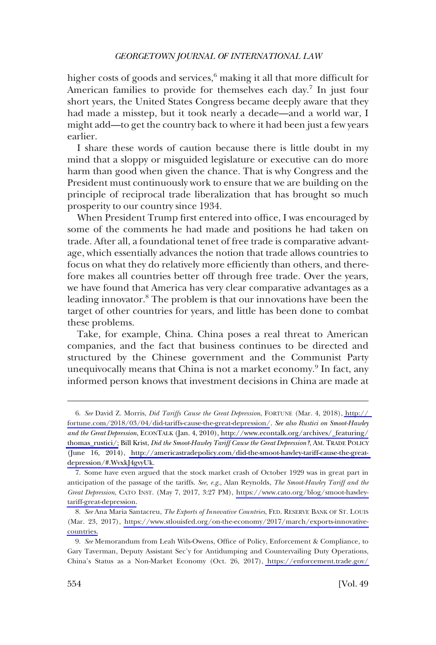#### *GEORGETOWN JOURNAL OF INTERNATIONAL LAW*

higher costs of goods and services,<sup>6</sup> making it all that more difficult for American families to provide for themselves each day.<sup>7</sup> In just four short years, the United States Congress became deeply aware that they had made a misstep, but it took nearly a decade—and a world war, I might add—to get the country back to where it had been just a few years earlier.

I share these words of caution because there is little doubt in my mind that a sloppy or misguided legislature or executive can do more harm than good when given the chance. That is why Congress and the President must continuously work to ensure that we are building on the principle of reciprocal trade liberalization that has brought so much prosperity to our country since 1934.

When President Trump first entered into office, I was encouraged by some of the comments he had made and positions he had taken on trade. After all, a foundational tenet of free trade is comparative advantage, which essentially advances the notion that trade allows countries to focus on what they do relatively more efficiently than others, and therefore makes all countries better off through free trade. Over the years, we have found that America has very clear comparative advantages as a leading innovator.8 The problem is that our innovations have been the target of other countries for years, and little has been done to combat these problems.

Take, for example, China. China poses a real threat to American companies, and the fact that business continues to be directed and structured by the Chinese government and the Communist Party unequivocally means that China is not a market economy.<sup>9</sup> In fact, any informed person knows that investment decisions in China are made at

*See* David Z. Morris, *Did Tariffs Cause the Great Depression*, FORTUNE (Mar. 4, 2018), [http://](http://fortune.com/2018/03/04/did-tariffs-cause-the-great-depression/) 6. [fortune.com/2018/03/04/did-tariffs-cause-the-great-depression/](http://fortune.com/2018/03/04/did-tariffs-cause-the-great-depression/). *See also Rustici on Smoot-Hawley and the Great Depression*, ECONTALK (Jan. 4, 2010), [http://www.econtalk.org/archives/\\_featuring/](http://www.econtalk.org/archives/_featuring/thomas_rustici/) [thomas\\_rustici/;](http://www.econtalk.org/archives/_featuring/thomas_rustici/) Bill Krist, *Did the Smoot-Hawley Tariff Cause the Great Depression?*, AM. TRADE POLICY (June 16, 2014), [http://americastradepolicy.com/did-the-smoot-hawley-tariff-cause-the-great](http://americastradepolicy.com/did-the-smoot-hawley-tariff-cause-the-great-depression/#.WvxkJ4gvyUk)[depression/#.WvxkJ4gvyUk.](http://americastradepolicy.com/did-the-smoot-hawley-tariff-cause-the-great-depression/#.WvxkJ4gvyUk)

<sup>7.</sup> Some have even argued that the stock market crash of October 1929 was in great part in anticipation of the passage of the tariffs. *See, e.g*., Alan Reynolds, *The Smoot-Hawley Tariff and the Great Depression*, CATO INST. (May 7, 2017, 3:27 PM), [https://www.cato.org/blog/smoot-hawley](https://www.cato.org/blog/smoot-hawley-tariff-great-depression)[tariff-great-depression.](https://www.cato.org/blog/smoot-hawley-tariff-great-depression)

*ee* Ana Maria Santacreu, *The Exports of Innovative Countries*, FED. RESERVE BANK OF ST. LOUIS 8. *S* (Mar. 23, 2017), [https://www.stlouisfed.org/on-the-economy/2017/march/exports-innovative](https://www.stlouisfed.org/on-the-economy/2017/march/exports-innovative-countries)[countries.](https://www.stlouisfed.org/on-the-economy/2017/march/exports-innovative-countries)

*See* Memorandum from Leah Wils-Owens, Office of Policy, Enforcement & Compliance, to 9. Gary Taverman, Deputy Assistant Sec'y for Antidumping and Countervailing Duty Operations, China's Status as a Non-Market Economy (Oct. 26, 2017), [https://enforcement.trade.gov/](https://enforcement.trade.gov/download/prc-nme-status/prc-nme-review-final-103017.pdf)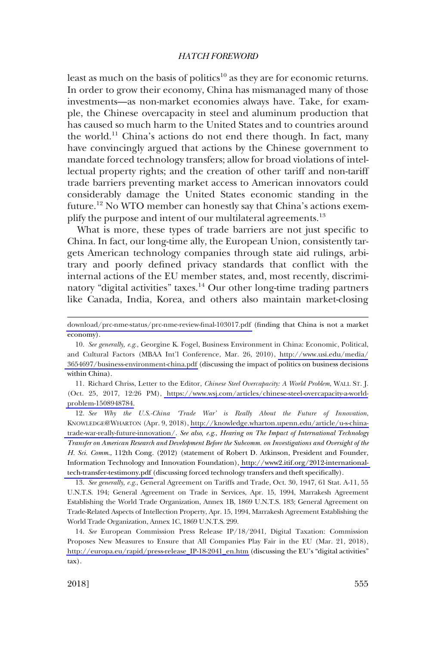### *HATCH FOREWORD*

least as much on the basis of politics<sup>10</sup> as they are for economic returns. In order to grow their economy, China has mismanaged many of those investments—as non-market economies always have. Take, for example, the Chinese overcapacity in steel and aluminum production that has caused so much harm to the United States and to countries around the world.<sup>11</sup> China's actions do not end there though. In fact, many have convincingly argued that actions by the Chinese government to mandate forced technology transfers; allow for broad violations of intellectual property rights; and the creation of other tariff and non-tariff trade barriers preventing market access to American innovators could considerably damage the United States economic standing in the future.<sup>12</sup> No WTO member can honestly say that China's actions exemplify the purpose and intent of our multilateral agreements.<sup>13</sup>

What is more, these types of trade barriers are not just specific to China. In fact, our long-time ally, the European Union, consistently targets American technology companies through state aid rulings, arbitrary and poorly defined privacy standards that conflict with the internal actions of the EU member states, and, most recently, discriminatory "digital activities" taxes.<sup>14</sup> Our other long-time trading partners like Canada, India, Korea, and others also maintain market-closing

11. Richard Chriss, Letter to the Editor, *Chinese Steel Overcapacity: A World Problem*, WALL ST. J. (Oct. 25, 2017, 12:26 PM), [https://www.wsj.com/articles/chinese-steel-overcapacity-a-world](https://www.wsj.com/articles/chinese-steel-overcapacity-a-world-problem-1508948784)[problem-1508948784.](https://www.wsj.com/articles/chinese-steel-overcapacity-a-world-problem-1508948784)

*See Why the U.S.-China 'Trade War' is Really About the Future of Innovation*, 12. KNOWLEDGE@WHARTON (Apr. 9, 2018), [http://knowledge.wharton.upenn.edu/article/u-s-china](http://knowledge.wharton.upenn.edu/article/u-s-china-trade-war-really-future-innovation/)[trade-war-really-future-innovation/.](http://knowledge.wharton.upenn.edu/article/u-s-china-trade-war-really-future-innovation/) *See also, e.g*., *Hearing on The Impact of International Technology Transfer on American Research and Development Before the Subcomm. on Investigations and Oversight of the H. Sci. Comm*., 112th Cong. (2012) (statement of Robert D. Atkinson, President and Founder, Information Technology and Innovation Foundation), [http://www2.itif.org/2012-international](http://www2.itif.org/2012-international-tech-transfer-testimony.pdf)[tech-transfer-testimony.pdf](http://www2.itif.org/2012-international-tech-transfer-testimony.pdf) (discussing forced technology transfers and theft specifically).

13. *See generally, e.g*., General Agreement on Tariffs and Trade, Oct. 30, 1947, 61 Stat. A-11, 55 U.N.T.S. 194; General Agreement on Trade in Services, Apr. 15, 1994, Marrakesh Agreement Establishing the World Trade Organization, Annex 1B, 1869 U.N.T.S. 183; General Agreement on Trade-Related Aspects of Intellection Property, Apr. 15, 1994, Marrakesh Agreement Establishing the World Trade Organization, Annex 1C, 1869 U.N.T.S. 299.

*See* European Commission Press Release IP/18/2041, Digital Taxation: Commission 14. Proposes New Measures to Ensure that All Companies Play Fair in the EU (Mar. 21, 2018), [http://europa.eu/rapid/press-release\\_IP-18-2041\\_en.htm](http://europa.eu/rapid/press-release_IP-18-2041_en.htm) (discussing the EU's "digital activities" tax).

[download/prc-nme-status/prc-nme-review-final-103017.pdf](https://enforcement.trade.gov/download/prc-nme-status/prc-nme-review-final-103017.pdf) (finding that China is not a market economy).

*See generally, e.g*., Georgine K. Fogel, Business Environment in China: Economic, Political, 10. and Cultural Factors (MBAA Int'l Conference, Mar. 26, 2010), [http://www.usi.edu/media/](http://www.usi.edu/media/3654697/business-environment-china.pdf) [3654697/business-environment-china.pdf](http://www.usi.edu/media/3654697/business-environment-china.pdf) (discussing the impact of politics on business decisions within China).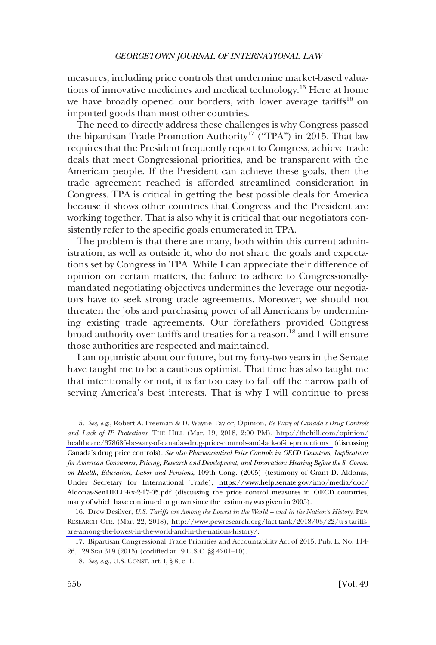#### *GEORGETOWN JOURNAL OF INTERNATIONAL LAW*

measures, including price controls that undermine market-based valuations of innovative medicines and medical technology.<sup>15</sup> Here at home we have broadly opened our borders, with lower average tariffs<sup>16</sup> on imported goods than most other countries.

The need to directly address these challenges is why Congress passed the bipartisan Trade Promotion Authority<sup>17</sup> ("TPA") in 2015. That law requires that the President frequently report to Congress, achieve trade deals that meet Congressional priorities, and be transparent with the American people. If the President can achieve these goals, then the trade agreement reached is afforded streamlined consideration in Congress. TPA is critical in getting the best possible deals for America because it shows other countries that Congress and the President are working together. That is also why it is critical that our negotiators consistently refer to the specific goals enumerated in TPA.

The problem is that there are many, both within this current administration, as well as outside it, who do not share the goals and expectations set by Congress in TPA. While I can appreciate their difference of opinion on certain matters, the failure to adhere to Congressionallymandated negotiating objectives undermines the leverage our negotiators have to seek strong trade agreements. Moreover, we should not threaten the jobs and purchasing power of all Americans by undermining existing trade agreements. Our forefathers provided Congress broad authority over tariffs and treaties for a reason,<sup>18</sup> and I will ensure those authorities are respected and maintained.

I am optimistic about our future, but my forty-two years in the Senate have taught me to be a cautious optimist. That time has also taught me that intentionally or not, it is far too easy to fall off the narrow path of serving America's best interests. That is why I will continue to press

*See, e.g*., Robert A. Freeman & D. Wayne Taylor, Opinion, *Be Wary of Canada's Drug Controls*  15. *and Lack of IP Protections*, THE HILL (Mar. 19, 2018, 2:00 PM), [http://thehill.com/opinion/](http://thehill.com/opinion/healthcare/378686-be-wary-of-canadas-drug-price-controls-and-lack-of-ip-protections) [healthcare/378686-be-wary-of-canadas-drug-price-controls-and-lack-of-ip-protections](http://thehill.com/opinion/healthcare/378686-be-wary-of-canadas-drug-price-controls-and-lack-of-ip-protections) (discussing Canada's drug price controls). *See also Pharmaceutical Price Controls in OECD Countries, Implications for American Consumers, Pricing, Research and Development, and Innovation: Hearing Before the S. Comm. on Health, Education, Labor and Pensions*, 109th Cong. (2005) (testimony of Grant D. Aldonas, Under Secretary for International Trade), [https://www.help.senate.gov/imo/media/doc/](https://www.help.senate.gov/imo/media/doc/Aldonas-SenHELP-Rx-2-17-05.pdf) [Aldonas-SenHELP-Rx-2-17-05.pdf](https://www.help.senate.gov/imo/media/doc/Aldonas-SenHELP-Rx-2-17-05.pdf) (discussing the price control measures in OECD countries, many of which have continued or grown since the testimony was given in 2005).

<sup>16.</sup> Drew Desilver, *U.S. Tariffs are Among the Lowest in the World – and in the Nation's History*, PEW RESEARCH CTR. (Mar. 22, 2018), [http://www.pewresearch.org/fact-tank/2018/03/22/u-s-tariffs](http://www.pewresearch.org/fact-tank/2018/03/22/u-s-tariffs-are-among-the-lowest-in-the-world-and-in-the-nations-history/)[are-among-the-lowest-in-the-world-and-in-the-nations-history/](http://www.pewresearch.org/fact-tank/2018/03/22/u-s-tariffs-are-among-the-lowest-in-the-world-and-in-the-nations-history/).

<sup>17.</sup> Bipartisan Congressional Trade Priorities and Accountability Act of 2015, Pub. L. No. 114- 26, 129 Stat 319 (2015) (codified at 19 U.S.C. §§ 4201–10).

<sup>18.</sup> *See, e.g*., U.S. CONST. art. I, § 8, cl 1.